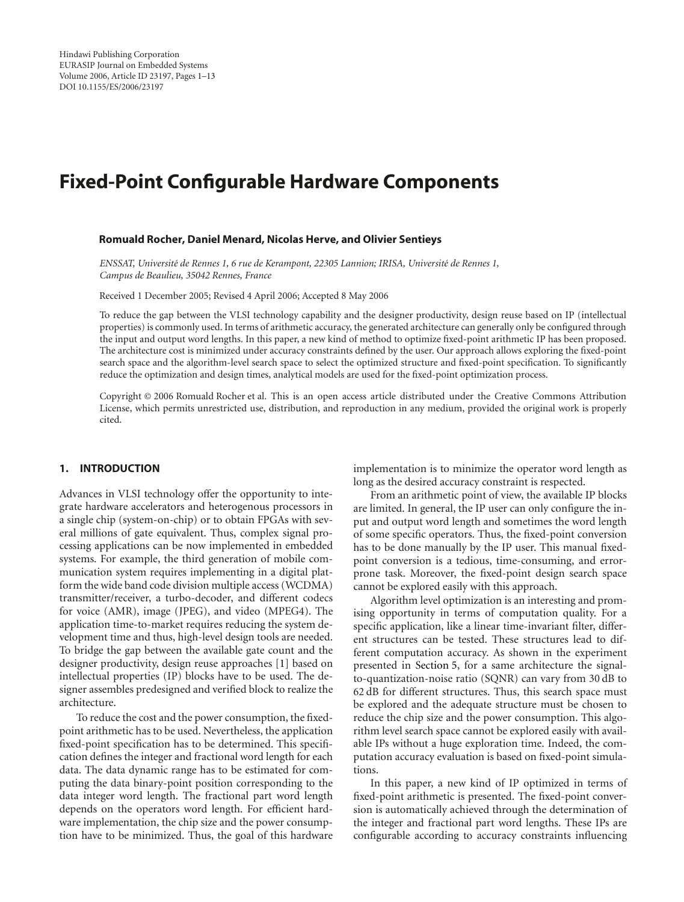# **Fixed-Point Configurable Hardware Components**

## **Romuald Rocher, Daniel Menard, Nicolas Herve, and Olivier Sentieys**

*ENSSAT, Universit´e de Rennes 1, 6 rue de Kerampont, 22305 Lannion; IRISA, Universit´e de Rennes 1, Campus de Beaulieu, 35042 Rennes, France*

Received 1 December 2005; Revised 4 April 2006; Accepted 8 May 2006

To reduce the gap between the VLSI technology capability and the designer productivity, design reuse based on IP (intellectual properties) is commonly used. In terms of arithmetic accuracy, the generated architecture can generally only be configured through the input and output word lengths. In this paper, a new kind of method to optimize fixed-point arithmetic IP has been proposed. The architecture cost is minimized under accuracy constraints defined by the user. Our approach allows exploring the fixed-point search space and the algorithm-level search space to select the optimized structure and fixed-point specification. To significantly reduce the optimization and design times, analytical models are used for the fixed-point optimization process.

Copyright © 2006 Romuald Rocher et al. This is an open access article distributed under the Creative Commons Attribution License, which permits unrestricted use, distribution, and reproduction in any medium, provided the original work is properly cited.

## **1. INTRODUCTION**

Advances in VLSI technology offer the opportunity to integrate hardware accelerators and heterogenous processors in a single chip (system-on-chip) or to obtain FPGAs with several millions of gate equivalent. Thus, complex signal processing applications can be now implemented in embedded systems. For example, the third generation of mobile communication system requires implementing in a digital platform the wide band code division multiple access (WCDMA) transmitter/receiver, a turbo-decoder, and different codecs for voice (AMR), image (JPEG), and video (MPEG4). The application time-to-market requires reducing the system development time and thus, high-level design tools are needed. To bridge the gap between the available gate count and the designer productivity, design reuse approaches [\[1](#page-11-1)] based on intellectual properties (IP) blocks have to be used. The designer assembles predesigned and verified block to realize the architecture.

To reduce the cost and the power consumption, the fixedpoint arithmetic has to be used. Nevertheless, the application fixed-point specification has to be determined. This specification defines the integer and fractional word length for each data. The data dynamic range has to be estimated for computing the data binary-point position corresponding to the data integer word length. The fractional part word length depends on the operators word length. For efficient hardware implementation, the chip size and the power consumption have to be minimized. Thus, the goal of this hardware

implementation is to minimize the operator word length as long as the desired accuracy constraint is respected.

From an arithmetic point of view, the available IP blocks are limited. In general, the IP user can only configure the input and output word length and sometimes the word length of some specific operators. Thus, the fixed-point conversion has to be done manually by the IP user. This manual fixedpoint conversion is a tedious, time-consuming, and errorprone task. Moreover, the fixed-point design search space cannot be explored easily with this approach.

Algorithm level optimization is an interesting and promising opportunity in terms of computation quality. For a specific application, like a linear time-invariant filter, different structures can be tested. These structures lead to different computation accuracy. As shown in the experiment presented in [Section 5,](#page-7-0) for a same architecture the signalto-quantization-noise ratio (SQNR) can vary from 30 dB to 62 dB for different structures. Thus, this search space must be explored and the adequate structure must be chosen to reduce the chip size and the power consumption. This algorithm level search space cannot be explored easily with available IPs without a huge exploration time. Indeed, the computation accuracy evaluation is based on fixed-point simulations.

In this paper, a new kind of IP optimized in terms of fixed-point arithmetic is presented. The fixed-point conversion is automatically achieved through the determination of the integer and fractional part word lengths. These IPs are configurable according to accuracy constraints influencing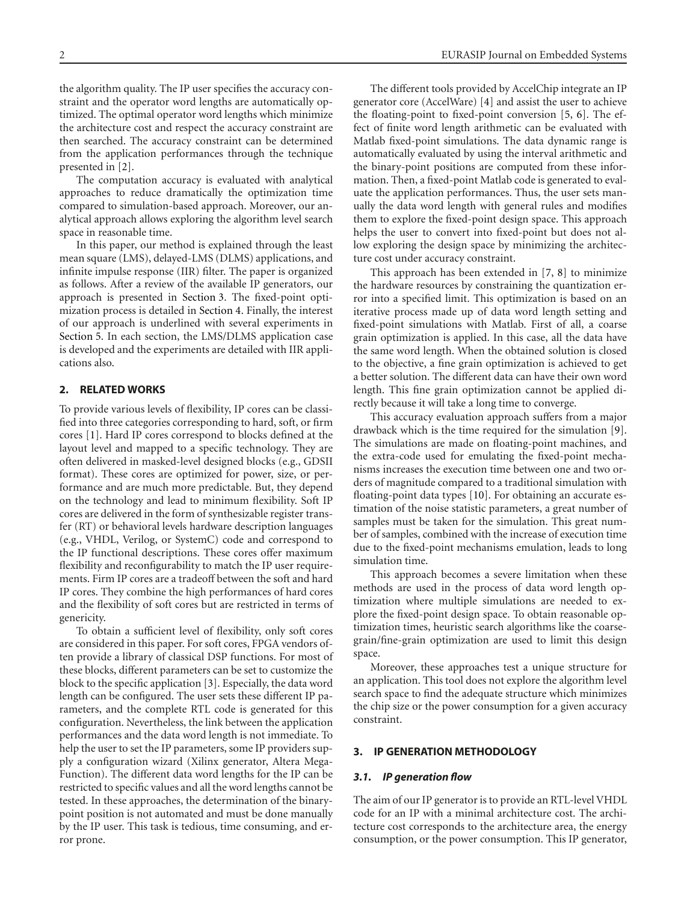the algorithm quality. The IP user specifies the accuracy constraint and the operator word lengths are automatically optimized. The optimal operator word lengths which minimize the architecture cost and respect the accuracy constraint are then searched. The accuracy constraint can be determined from the application performances through the technique presented in [\[2\]](#page-11-2).

The computation accuracy is evaluated with analytical approaches to reduce dramatically the optimization time compared to simulation-based approach. Moreover, our analytical approach allows exploring the algorithm level search space in reasonable time.

In this paper, our method is explained through the least mean square (LMS), delayed-LMS (DLMS) applications, and infinite impulse response (IIR) filter. The paper is organized as follows. After a review of the available IP generators, our approach is presented in [Section 3.](#page-1-0) The fixed-point optimization process is detailed in [Section 4.](#page-5-0) Finally, the interest of our approach is underlined with several experiments in [Section 5.](#page-7-0) In each section, the LMS/DLMS application case is developed and the experiments are detailed with IIR applications also.

# **2. RELATED WORKS**

To provide various levels of flexibility, IP cores can be classified into three categories corresponding to hard, soft, or firm cores [\[1\]](#page-11-1). Hard IP cores correspond to blocks defined at the layout level and mapped to a specific technology. They are often delivered in masked-level designed blocks (e.g., GDSII format). These cores are optimized for power, size, or performance and are much more predictable. But, they depend on the technology and lead to minimum flexibility. Soft IP cores are delivered in the form of synthesizable register transfer (RT) or behavioral levels hardware description languages (e.g., VHDL, Verilog, or SystemC) code and correspond to the IP functional descriptions. These cores offer maximum flexibility and reconfigurability to match the IP user requirements. Firm IP cores are a tradeoff between the soft and hard IP cores. They combine the high performances of hard cores and the flexibility of soft cores but are restricted in terms of genericity.

To obtain a sufficient level of flexibility, only soft cores are considered in this paper. For soft cores, FPGA vendors often provide a library of classical DSP functions. For most of these blocks, different parameters can be set to customize the block to the specific application [\[3](#page-11-3)]. Especially, the data word length can be configured. The user sets these different IP parameters, and the complete RTL code is generated for this configuration. Nevertheless, the link between the application performances and the data word length is not immediate. To help the user to set the IP parameters, some IP providers supply a configuration wizard (Xilinx generator, Altera Mega-Function). The different data word lengths for the IP can be restricted to specific values and all the word lengths cannot be tested. In these approaches, the determination of the binarypoint position is not automated and must be done manually by the IP user. This task is tedious, time consuming, and error prone.

The different tools provided by AccelChip integrate an IP generator core (AccelWare) [\[4\]](#page-11-4) and assist the user to achieve the floating-point to fixed-point conversion [\[5](#page-12-0), [6\]](#page-12-1). The effect of finite word length arithmetic can be evaluated with Matlab fixed-point simulations. The data dynamic range is automatically evaluated by using the interval arithmetic and the binary-point positions are computed from these information. Then, a fixed-point Matlab code is generated to evaluate the application performances. Thus, the user sets manually the data word length with general rules and modifies them to explore the fixed-point design space. This approach helps the user to convert into fixed-point but does not allow exploring the design space by minimizing the architecture cost under accuracy constraint.

This approach has been extended in [\[7,](#page-12-2) [8](#page-12-3)] to minimize the hardware resources by constraining the quantization error into a specified limit. This optimization is based on an iterative process made up of data word length setting and fixed-point simulations with Matlab. First of all, a coarse grain optimization is applied. In this case, all the data have the same word length. When the obtained solution is closed to the objective, a fine grain optimization is achieved to get a better solution. The different data can have their own word length. This fine grain optimization cannot be applied directly because it will take a long time to converge.

This accuracy evaluation approach suffers from a major drawback which is the time required for the simulation [\[9](#page-12-4)]. The simulations are made on floating-point machines, and the extra-code used for emulating the fixed-point mechanisms increases the execution time between one and two orders of magnitude compared to a traditional simulation with floating-point data types [\[10\]](#page-12-5). For obtaining an accurate estimation of the noise statistic parameters, a great number of samples must be taken for the simulation. This great number of samples, combined with the increase of execution time due to the fixed-point mechanisms emulation, leads to long simulation time.

This approach becomes a severe limitation when these methods are used in the process of data word length optimization where multiple simulations are needed to explore the fixed-point design space. To obtain reasonable optimization times, heuristic search algorithms like the coarsegrain/fine-grain optimization are used to limit this design space.

Moreover, these approaches test a unique structure for an application. This tool does not explore the algorithm level search space to find the adequate structure which minimizes the chip size or the power consumption for a given accuracy constraint.

# <span id="page-1-0"></span>**3. IP GENERATION METHODOLOGY**

## *3.1. IP generation flow*

The aim of our IP generator is to provide an RTL-level VHDL code for an IP with a minimal architecture cost. The architecture cost corresponds to the architecture area, the energy consumption, or the power consumption. This IP generator,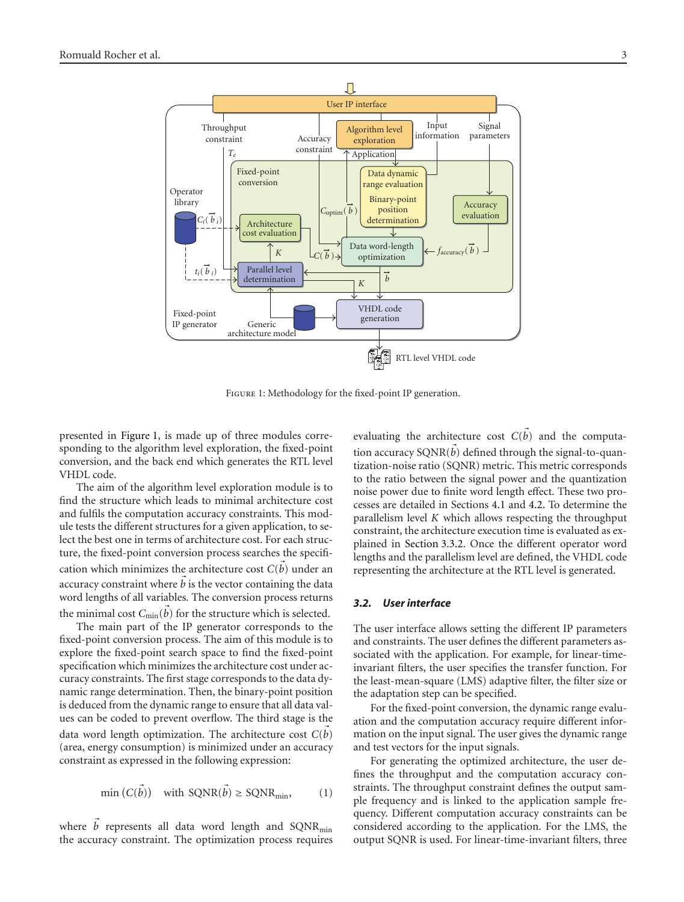

<span id="page-2-0"></span>Figure 1: Methodology for the fixed-point IP generation.

presented in [Figure 1,](#page-2-0) is made up of three modules corresponding to the algorithm level exploration, the fixed-point conversion, and the back end which generates the RTL level VHDL code.

The aim of the algorithm level exploration module is to find the structure which leads to minimal architecture cost and fulfils the computation accuracy constraints. This module tests the different structures for a given application, to select the best one in terms of architecture cost. For each structure, the fixed-point conversion process searches the specification which minimizes the architecture cost  $C(\vec{b})$  under an accuracy constraint where  $\vec{b}$  is the vector containing the data word lengths of all variables. The conversion process returns the minimal cost  $C_{\text{min}}(\vec{b})$  for the structure which is selected.

The main part of the IP generator corresponds to the fixed-point conversion process. The aim of this module is to explore the fixed-point search space to find the fixed-point specification which minimizes the architecture cost under accuracy constraints. The first stage corresponds to the data dynamic range determination. Then, the binary-point position is deduced from the dynamic range to ensure that all data values can be coded to prevent overflow. The third stage is the data word length optimization. The architecture cost  $C(\vec{b})$ (area, energy consumption) is minimized under an accuracy constraint as expressed in the following expression:

$$
\min(C(\vec{b})) \quad \text{with } \text{SQNR}(\vec{b}) \ge \text{SQNR}_{\text{min}}, \tag{1}
$$

where  $\vec{b}$  represents all data word length and SQNR<sub>min</sub> the accuracy constraint. The optimization process requires

evaluating the architecture cost  $C(\vec{b})$  and the computation accuracy  $\text{SQNR}(\vec{b})$  defined through the signal-to-quantization-noise ratio (SQNR) metric. This metric corresponds to the ratio between the signal power and the quantization noise power due to finite word length effect. These two processes are detailed in Sections [4.1](#page-5-1) and [4.2.](#page-6-0) To determine the parallelism level *K* which allows respecting the throughput constraint, the architecture execution time is evaluated as explained in [Section 3.3.2.](#page-3-0) Once the different operator word lengths and the parallelism level are defined, the VHDL code representing the architecture at the RTL level is generated.

#### *3.2. User interface*

The user interface allows setting the different IP parameters and constraints. The user defines the different parameters associated with the application. For example, for linear-timeinvariant filters, the user specifies the transfer function. For the least-mean-square (LMS) adaptive filter, the filter size or the adaptation step can be specified.

For the fixed-point conversion, the dynamic range evaluation and the computation accuracy require different information on the input signal. The user gives the dynamic range and test vectors for the input signals.

For generating the optimized architecture, the user defines the throughput and the computation accuracy constraints. The throughput constraint defines the output sample frequency and is linked to the application sample frequency. Different computation accuracy constraints can be considered according to the application. For the LMS, the output SQNR is used. For linear-time-invariant filters, three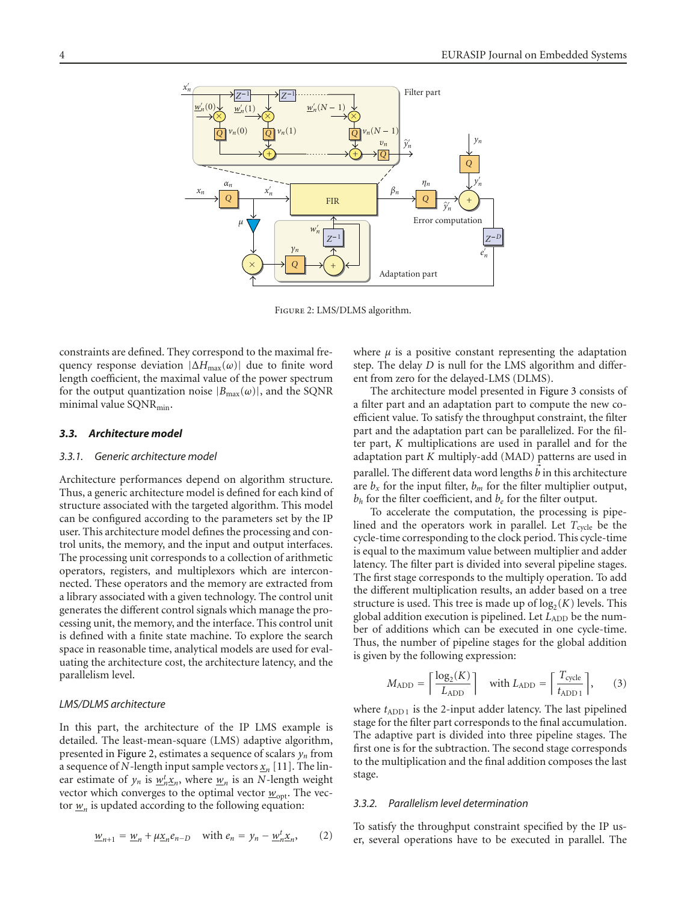

<span id="page-3-1"></span>Figure 2: LMS/DLMS algorithm.

constraints are defined. They correspond to the maximal frequency response deviation <sup>|</sup>Δ*H*max(*ω*)<sup>|</sup> due to finite word length coefficient, the maximal value of the power spectrum for the output quantization noise  $|B_{\text{max}}(\omega)|$ , and the SQNR minimal value  $SQNR_{\text{min}}$ .

## *3.3. Architecture model*

#### *3.3.1. Generic architecture model*

Architecture performances depend on algorithm structure. Thus, a generic architecture model is defined for each kind of structure associated with the targeted algorithm. This model can be configured according to the parameters set by the IP user. This architecture model defines the processing and control units, the memory, and the input and output interfaces. The processing unit corresponds to a collection of arithmetic operators, registers, and multiplexors which are interconnected. These operators and the memory are extracted from a library associated with a given technology. The control unit generates the different control signals which manage the processing unit, the memory, and the interface. This control unit is defined with a finite state machine. To explore the search space in reasonable time, analytical models are used for evaluating the architecture cost, the architecture latency, and the parallelism level.

# *LMS/DLMS architecture*

In this part, the architecture of the IP LMS example is detailed. The least-mean-square (LMS) adaptive algorithm, presented in [Figure 2,](#page-3-1) estimates a sequence of scalars *yn* from a sequence of *N*-length input sample vectors  $\underline{x}_n$  [\[11\]](#page-12-6). The linear estimate of  $y_n$  is  $\underline{w}_n^t x_n$ , where  $\underline{w}_n$  is an *N*-length weight vector which converges to the optimal vector  $w_{\text{opt}}$ . The vector  $\underline{w}_n$  is updated according to the following equation:

$$
\underline{w}_{n+1} = \underline{w}_n + \mu \underline{x}_n e_{n-D} \quad \text{with } e_n = y_n - \underline{w}_n^t \underline{x}_n,\qquad(2)
$$

where  $\mu$  is a positive constant representing the adaptation step. The delay *D* is null for the LMS algorithm and different from zero for the delayed-LMS (DLMS).

The architecture model presented in [Figure 3](#page-4-0) consists of a filter part and an adaptation part to compute the new coefficient value. To satisfy the throughput constraint, the filter part and the adaptation part can be parallelized. For the filter part, *K* multiplications are used in parallel and for the adaptation part *K* multiply-add (MAD) patterns are used in parallel. The different data word lengths  $\vec{b}$  in this architecture are  $b_x$  for the input filter,  $b_m$  for the filter multiplier output,  $b_h$  for the filter coefficient, and  $b_e$  for the filter output.

To accelerate the computation, the processing is pipelined and the operators work in parallel. Let  $T_{cycle}$  be the cycle-time corresponding to the clock period. This cycle-time is equal to the maximum value between multiplier and adder latency. The filter part is divided into several pipeline stages. The first stage corresponds to the multiply operation. To add the different multiplication results, an adder based on a tree structure is used. This tree is made up of  $log_2(K)$  levels. This global addition execution is pipelined. Let *LADD* be the number of additions which can be executed in one cycle-time. Thus, the number of pipeline stages for the global addition is given by the following expression:

$$
M_{\rm ADD} = \left\lceil \frac{\log_2(K)}{L_{\rm ADD}} \right\rceil \quad \text{with } L_{\rm ADD} = \left\lceil \frac{T_{\rm cycle}}{t_{\rm ADD}} \right\rceil, \tag{3}
$$

where  $t_{ADD1}$  is the 2-input adder latency. The last pipelined stage for the filter part corresponds to the final accumulation. The adaptive part is divided into three pipeline stages. The first one is for the subtraction. The second stage corresponds to the multiplication and the final addition composes the last stage.

#### <span id="page-3-0"></span>*3.3.2. Parallelism level determination*

<span id="page-3-2"></span>To satisfy the throughput constraint specified by the IP user, several operations have to be executed in parallel. The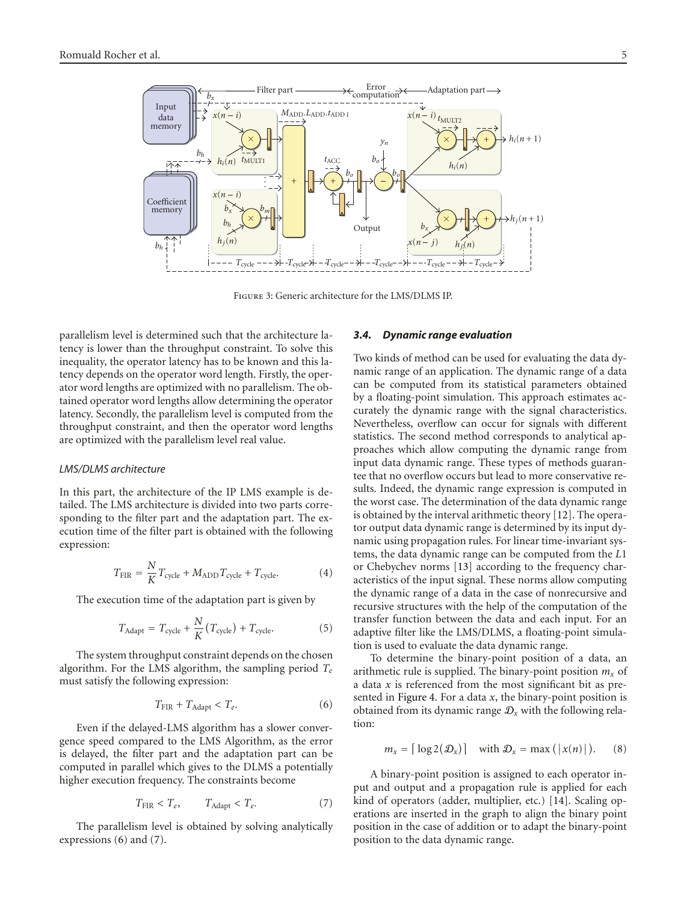

<span id="page-4-0"></span>Figure 3: Generic architecture for the LMS/DLMS IP.

parallelism level is determined such that the architecture latency is lower than the throughput constraint. To solve this inequality, the operator latency has to be known and this latency depends on the operator word length. Firstly, the operator word lengths are optimized with no parallelism. The obtained operator word lengths allow determining the operator latency. Secondly, the parallelism level is computed from the throughput constraint, and then the operator word lengths are optimized with the parallelism level real value.

# *LMS/DLMS architecture*

In this part, the architecture of the IP LMS example is detailed. The LMS architecture is divided into two parts corresponding to the filter part and the adaptation part. The execution time of the filter part is obtained with the following expression:

$$
T_{\rm FIR} = \frac{N}{K} T_{\rm cycle} + M_{\rm ADD} T_{\rm cycle} + T_{\rm cycle}.
$$
 (4)

The execution time of the adaptation part is given by

$$
T_{\text{Adapt}} = T_{\text{cycle}} + \frac{N}{K} (T_{\text{cycle}}) + T_{\text{cycle}}.
$$
 (5)

The system throughput constraint depends on the chosen algorithm. For the LMS algorithm, the sampling period *Te* must satisfy the following expression:

<span id="page-4-1"></span>
$$
T_{\rm FIR} + T_{\rm Adapt} < T_e. \tag{6}
$$

Even if the delayed-LMS algorithm has a slower convergence speed compared to the LMS Algorithm, as the error is delayed, the filter part and the adaptation part can be computed in parallel which gives to the DLMS a potentially higher execution frequency. The constraints become

<span id="page-4-2"></span>
$$
T_{\text{FIR}} < T_e, \qquad T_{\text{Adapt}} < T_e. \tag{7}
$$

The parallelism level is obtained by solving analytically expressions [\(6\)](#page-4-1) and [\(7\)](#page-4-2).

#### *3.4. Dynamic range evaluation*

Two kinds of method can be used for evaluating the data dynamic range of an application. The dynamic range of a data can be computed from its statistical parameters obtained by a floating-point simulation. This approach estimates accurately the dynamic range with the signal characteristics. Nevertheless, overflow can occur for signals with different statistics. The second method corresponds to analytical approaches which allow computing the dynamic range from input data dynamic range. These types of methods guarantee that no overflow occurs but lead to more conservative results. Indeed, the dynamic range expression is computed in the worst case. The determination of the data dynamic range is obtained by the interval arithmetic theory [\[12](#page-12-7)]. The operator output data dynamic range is determined by its input dynamic using propagation rules. For linear time-invariant systems, the data dynamic range can be computed from the *L*1 or Chebychev norms [\[13](#page-12-8)] according to the frequency characteristics of the input signal. These norms allow computing the dynamic range of a data in the case of nonrecursive and recursive structures with the help of the computation of the transfer function between the data and each input. For an adaptive filter like the LMS/DLMS, a floating-point simulation is used to evaluate the data dynamic range.

To determine the binary-point position of a data, an arithmetic rule is supplied. The binary-point position  $m<sub>x</sub>$  of a data *x* is referenced from the most significant bit as presented in [Figure 4.](#page-5-2) For a data *x*, the binary-point position is obtained from its dynamic range  $\mathcal{D}_x$  with the following relation:

$$
m_x = \lceil \log 2(\mathcal{D}_x) \rceil \quad \text{with } \mathcal{D}_x = \max\left( \lceil x(n) \rceil \right). \tag{8}
$$

A binary-point position is assigned to each operator input and output and a propagation rule is applied for each kind of operators (adder, multiplier, etc.) [\[14](#page-12-9)]. Scaling operations are inserted in the graph to align the binary point position in the case of addition or to adapt the binary-point position to the data dynamic range.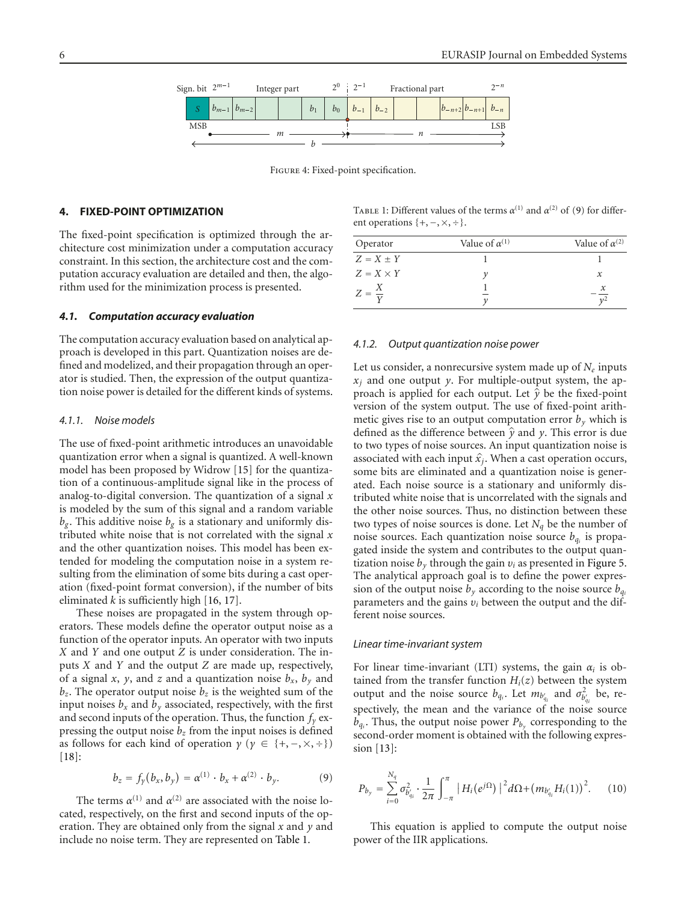

<span id="page-5-2"></span>FIGURE 4: Fixed-point specification.

# <span id="page-5-0"></span>**4. FIXED-POINT OPTIMIZATION**

The fixed-point specification is optimized through the architecture cost minimization under a computation accuracy constraint. In this section, the architecture cost and the computation accuracy evaluation are detailed and then, the algorithm used for the minimization process is presented.

#### <span id="page-5-1"></span>*4.1. Computation accuracy evaluation*

The computation accuracy evaluation based on analytical approach is developed in this part. Quantization noises are defined and modelized, and their propagation through an operator is studied. Then, the expression of the output quantization noise power is detailed for the different kinds of systems.

### *4.1.1. Noise models*

The use of fixed-point arithmetic introduces an unavoidable quantization error when a signal is quantized. A well-known model has been proposed by Widrow [\[15](#page-12-10)] for the quantization of a continuous-amplitude signal like in the process of analog-to-digital conversion. The quantization of a signal *x* is modeled by the sum of this signal and a random variable  $b_g$ . This additive noise  $b_g$  is a stationary and uniformly distributed white noise that is not correlated with the signal *x* and the other quantization noises. This model has been extended for modeling the computation noise in a system resulting from the elimination of some bits during a cast operation (fixed-point format conversion), if the number of bits eliminated *k* is sufficiently high [\[16,](#page-12-11) [17](#page-12-12)].

These noises are propagated in the system through operators. These models define the operator output noise as a function of the operator inputs. An operator with two inputs *X* and *Y* and one output *Z* is under consideration. The inputs *X* and *Y* and the output *Z* are made up, respectively, of a signal *x*, *y*, and *z* and a quantization noise  $b_x$ ,  $b_y$  and  $b_z$ . The operator output noise  $b_z$  is the weighted sum of the input noises  $b_x$  and  $b_y$  associated, respectively, with the first and second inputs of the operation. Thus, the function  $f_\nu$  expressing the output noise  $b_z$  from the input noises is defined as follows for each kind of operation  $\gamma$  ( $\gamma \in \{+, -, \times, \div\}$ ) [\[18](#page-12-13)]:

$$
b_z = f_y(b_x, b_y) = \alpha^{(1)} \cdot b_x + \alpha^{(2)} \cdot b_y. \tag{9}
$$

The terms  $\alpha^{(1)}$  and  $\alpha^{(2)}$  are associated with the noise located, respectively, on the first and second inputs of the operation. They are obtained only from the signal *x* and *y* and include no noise term. They are represented on [Table 1.](#page-5-3)

<span id="page-5-3"></span>TABLE 1: Different values of the terms  $\alpha^{(1)}$  and  $\alpha^{(2)}$  of [\(9\)](#page-5-4) for different operations  $\{+, -, \times, \div\}.$ 

| Operator              | Value of $\alpha^{(1)}$ | Value of $\alpha^{(2)}$  |  |
|-----------------------|-------------------------|--------------------------|--|
| $Z = X \pm Y$         |                         |                          |  |
| $Z = X \times Y$      |                         | $\mathcal{X}$            |  |
| $Z=\frac{\Lambda}{V}$ |                         | $\chi$<br>v <sup>2</sup> |  |

## *4.1.2. Output quantization noise power*

Let us consider, a nonrecursive system made up of  $N_e$  inputs  $x_i$  and one output  $y$ . For multiple-output system, the approach is applied for each output. Let  $\hat{y}$  be the fixed-point version of the system output. The use of fixed-point arithmetic gives rise to an output computation error  $b<sub>y</sub>$  which is defined as the difference between  $\hat{y}$  and  $y$ . This error is due to two types of noise sources. An input quantization noise is associated with each input  $\hat{x}_i$ . When a cast operation occurs, some bits are eliminated and a quantization noise is generated. Each noise source is a stationary and uniformly distributed white noise that is uncorrelated with the signals and the other noise sources. Thus, no distinction between these two types of noise sources is done. Let  $N_q$  be the number of noise sources. Each quantization noise source  $b_{q_i}$  is propagated inside the system and contributes to the output quantization noise *by* through the gain *υi* as presented in [Figure 5.](#page-6-1) The analytical approach goal is to define the power expression of the output noise  $b_y$  according to the noise source  $b_{q_i}$ parameters and the gains *υi* between the output and the different noise sources.

## *Linear time-invariant system*

For linear time-invariant (LTI) systems, the gain  $\alpha_i$  is obtained from the transfer function  $H_i(z)$  between the system output and the noise source  $b_{q_i}$ . Let  $m_{b'_{q_i}}$  and  $\sigma_{b'_{q_i}}^2$  be, respectively, the mean and the variance of the noise source  $b_{q_i}$ . Thus, the output noise power  $P_{b_{\nu}}$  corresponding to the second-order moment is obtained with the following expression [\[13](#page-12-8)]:

<span id="page-5-4"></span>
$$
P_{b_y} = \sum_{i=0}^{N_q} \sigma_{b'_{q_i}}^2 \cdot \frac{1}{2\pi} \int_{-\pi}^{\pi} |H_i(e^{j\Omega})|^2 d\Omega + (m_{b'_{q_i}} H_i(1))^2.
$$
 (10)

This equation is applied to compute the output noise power of the IIR applications.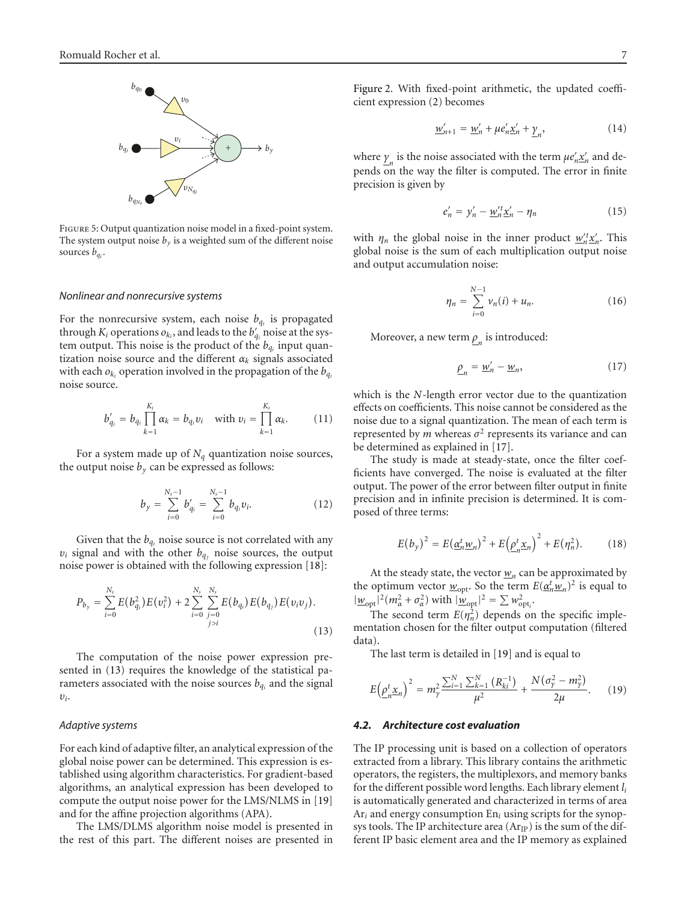

<span id="page-6-1"></span>Figure 5: Output quantization noise model in a fixed-point system. The system output noise  $b<sub>v</sub>$  is a weighted sum of the different noise sources *bqi* .

#### *Nonlinear and nonrecursive systems*

For the nonrecursive system, each noise  $b_{q_i}$  is propagated through  $K_i$  operations  $o_{k_i}$ , and leads to the  $b'_{q_i}$  noise at the system output. This noise is the product of the  $b_{q_i}$  input quantization noise source and the different  $\alpha_k$  signals associated with each  $o_{ki}$  operation involved in the propagation of the  $b_{qi}$ noise source.

$$
b'_{q_i} = b_{q_i} \prod_{k=1}^{K_i} \alpha_k = b_{q_i} v_i \text{ with } v_i = \prod_{k=1}^{K_i} \alpha_k. \quad (11)
$$

For a system made up of  $N_q$  quantization noise sources, the output noise  $b<sub>y</sub>$  can be expressed as follows:

$$
b_y = \sum_{i=0}^{N_s-1} b'_{q_i} = \sum_{i=0}^{N_s-1} b_{q_i} v_i.
$$
 (12)

Given that the  $b_{q_i}$  noise source is not correlated with any  $v_i$  signal and with the other  $b_{q_i}$  noise sources, the output noise power is obtained with the following expression [\[18](#page-12-13)]:

$$
P_{b_y} = \sum_{i=0}^{N_s} E(b_{q_i}^2) E(v_i^2) + 2 \sum_{i=0}^{N_s} \sum_{\substack{j=0 \ j>i}}^{N_s} E(b_{q_i}) E(b_{q_j}) E(v_i v_j).
$$
\n(13)

The computation of the noise power expression presented in [\(13\)](#page-6-2) requires the knowledge of the statistical parameters associated with the noise sources  $b_{q_i}$  and the signal *υi*.

## *Adaptive systems*

For each kind of adaptive filter, an analytical expression of the global noise power can be determined. This expression is established using algorithm characteristics. For gradient-based algorithms, an analytical expression has been developed to compute the output noise power for the LMS/NLMS in [\[19\]](#page-12-14) and for the affine projection algorithms (APA).

The LMS/DLMS algorithm noise model is presented in the rest of this part. The different noises are presented in [Figure 2.](#page-3-1) With fixed-point arithmetic, the updated coefficient expression [\(2\)](#page-3-2) becomes

$$
\underline{w}'_{n+1} = \underline{w}'_n + \mu e'_n \underline{x}'_n + \underline{y}_n,\tag{14}
$$

where  $\gamma_n$  is the noise associated with the term  $\mu e'_n \underline{x}'_n$  and depends on the way the filter is computed. The error in finite precision is given by

$$
e'_{n} = y'_{n} - \underline{w}'_{n} \underline{x}'_{n} - \eta_{n} \tag{15}
$$

with  $\eta_n$  the global noise in the inner product  $w_n'^t x_n'$ . This global noise is the sum of each multiplication output noise and output accumulation noise:

$$
\eta_n = \sum_{i=0}^{N-1} \nu_n(i) + u_n.
$$
 (16)

Moreover, a new term  $\rho_n$  is introduced:

$$
\underline{\rho}_n = \underline{w}'_n - \underline{w}_n,\tag{17}
$$

which is the *N*-length error vector due to the quantization effects on coefficients. This noise cannot be considered as the noise due to a signal quantization. The mean of each term is represented by  $m$  whereas  $\sigma^2$  represents its variance and can be determined as explained in [\[17\]](#page-12-12).

The study is made at steady-state, once the filter coefficients have converged. The noise is evaluated at the filter output. The power of the error between filter output in finite precision and in infinite precision is determined. It is composed of three terms:

$$
E(b_y)^2 = E(\underline{\alpha}_n^t \underline{w}_n)^2 + E(\underline{\rho}_n^t \underline{x}_n)^2 + E(\eta_n^2). \tag{18}
$$

At the steady state, the vector  $w_n$  can be approximated by the optimum vector  $\underline{w}_{opt}$ . So the term  $E(\underline{\alpha}_n^t \underline{w}_n)^2$  is equal to  $|\underline{w}_{opt}|^2(m_\alpha^2 + \sigma_\alpha^2)$  with  $|\underline{w}_{opt}|^2 = \sum w_{opt_i}^2$ .

<span id="page-6-2"></span>The second term  $E(\eta_n^2)$  depends on the specific implementation chosen for the filter output computation (filtered data).

The last term is detailed in [\[19\]](#page-12-14) and is equal to

$$
E\left(\underline{\rho}_{n}^{t}\underline{x}_{n}\right)^{2} = m_{\gamma}^{2} \frac{\sum_{i=1}^{N} \sum_{k=1}^{N} \left(R_{ki}^{-1}\right)}{\mu^{2}} + \frac{N(\sigma_{\gamma}^{2} - m_{\gamma}^{2})}{2\mu}.
$$
 (19)

#### <span id="page-6-0"></span>*4.2. Architecture cost evaluation*

The IP processing unit is based on a collection of operators extracted from a library. This library contains the arithmetic operators, the registers, the multiplexors, and memory banks for the different possible word lengths. Each library element *li* is automatically generated and characterized in terms of area Ar*<sup>i</sup>* and energy consumption En*<sup>i</sup>* using scripts for the synopsys tools. The IP architecture area  $(Ar_{IP})$  is the sum of the different IP basic element area and the IP memory as explained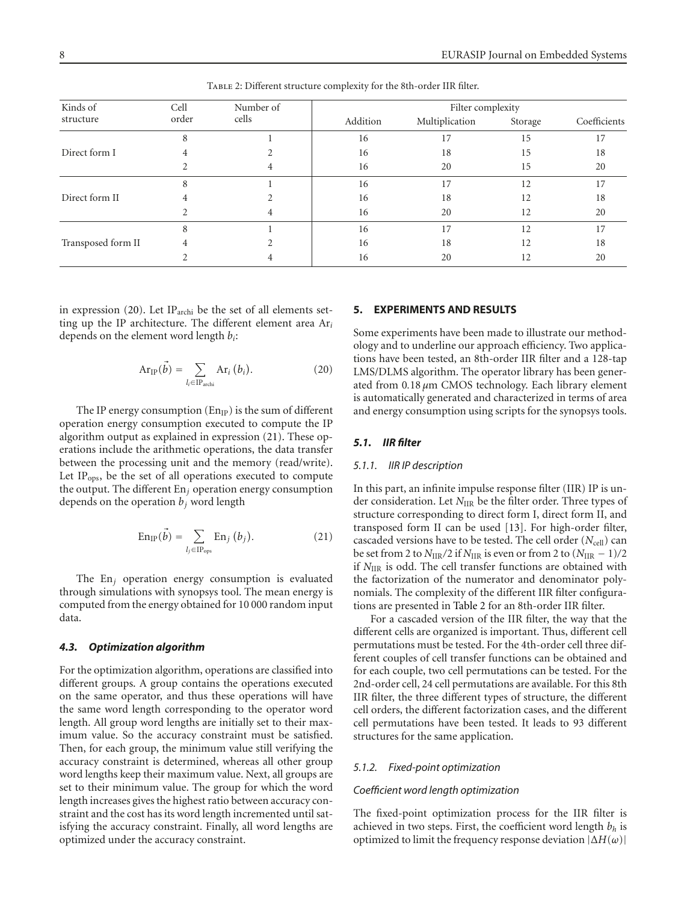| Kinds of           | Cell  | Number of<br>cells | Filter complexity |                |         |              |
|--------------------|-------|--------------------|-------------------|----------------|---------|--------------|
| structure          | order |                    | Addition          | Multiplication | Storage | Coefficients |
|                    | 8     |                    | 16                | 17             | 15      | 17           |
| Direct form I      | 4     |                    | 16                | 18             | 15      | 18           |
|                    |       | 4                  | 16                | 20             | 15      | 20           |
| Direct form II     | 8     |                    | 16                | 17             | 12      | 17           |
|                    | 4     |                    | 16                | 18             | 12      | 18           |
|                    |       |                    | 16                | 20             | 12      | 20           |
| Transposed form II | 8     |                    | 16                | 17             | 12      | 17           |
|                    | 4     |                    | 16                | 18             | 12      | 18           |
|                    |       |                    | 16                | 20             | 12      | 20           |

<span id="page-7-3"></span>Table 2: Different structure complexity for the 8th-order IIR filter.

in expression [\(20\)](#page-7-1). Let  $IP<sub>archi</sub>$  be the set of all elements setting up the IP architecture. The different element area Ar*<sup>i</sup>* depends on the element word length *bi*:

<span id="page-7-1"></span>
$$
Ar_{IP}(\vec{b}) = \sum_{l_i \in IP_{\text{archi}}} Ar_i(b_i).
$$
 (20)

The IP energy consumption  $(En_{IP})$  is the sum of different operation energy consumption executed to compute the IP algorithm output as explained in expression [\(21\)](#page-7-2). These operations include the arithmetic operations, the data transfer between the processing unit and the memory (read/write). Let IP<sub>ops</sub>, be the set of all operations executed to compute the output. The different En*<sup>j</sup>* operation energy consumption depends on the operation  $b_i$  word length

<span id="page-7-2"></span>
$$
\text{En}_{IP}(\vec{b}) = \sum_{l_j \in IP_{ops}} \text{En}_j(b_j). \tag{21}
$$

The En*<sup>j</sup>* operation energy consumption is evaluated through simulations with synopsys tool. The mean energy is computed from the energy obtained for 10 000 random input data.

### *4.3. Optimization algorithm*

For the optimization algorithm, operations are classified into different groups. A group contains the operations executed on the same operator, and thus these operations will have the same word length corresponding to the operator word length. All group word lengths are initially set to their maximum value. So the accuracy constraint must be satisfied. Then, for each group, the minimum value still verifying the accuracy constraint is determined, whereas all other group word lengths keep their maximum value. Next, all groups are set to their minimum value. The group for which the word length increases gives the highest ratio between accuracy constraint and the cost has its word length incremented until satisfying the accuracy constraint. Finally, all word lengths are optimized under the accuracy constraint.

# <span id="page-7-0"></span>**5. EXPERIMENTS AND RESULTS**

Some experiments have been made to illustrate our methodology and to underline our approach efficiency. Two applications have been tested, an 8th-order IIR filter and a 128-tap LMS/DLMS algorithm. The operator library has been generated from 0*.*18 *μ*m CMOS technology. Each library element is automatically generated and characterized in terms of area and energy consumption using scripts for the synopsys tools.

### *5.1. IIR filter*

#### *5.1.1. IIR IP description*

In this part, an infinite impulse response filter (IIR) IP is under consideration. Let *N*<sub>IIR</sub> be the filter order. Three types of structure corresponding to direct form I, direct form II, and transposed form II can be used [\[13](#page-12-8)]. For high-order filter, cascaded versions have to be tested. The cell order  $(N_{\text{cell}})$  can be set from 2 to  $N_{\text{IIR}}/2$  if  $N_{\text{IIR}}$  is even or from 2 to  $(N_{\text{IIR}} - 1)/2$ if *N*<sub>IIR</sub> is odd. The cell transfer functions are obtained with the factorization of the numerator and denominator polynomials. The complexity of the different IIR filter configurations are presented in [Table 2](#page-7-3) for an 8th-order IIR filter.

For a cascaded version of the IIR filter, the way that the different cells are organized is important. Thus, different cell permutations must be tested. For the 4th-order cell three different couples of cell transfer functions can be obtained and for each couple, two cell permutations can be tested. For the 2nd-order cell, 24 cell permutations are available. For this 8th IIR filter, the three different types of structure, the different cell orders, the different factorization cases, and the different cell permutations have been tested. It leads to 93 different structures for the same application.

#### *5.1.2. Fixed-point optimization*

## *Coefficient word length optimization*

The fixed-point optimization process for the IIR filter is achieved in two steps. First, the coefficient word length  $b_h$  is optimized to limit the frequency response deviation <sup>|</sup>Δ*H*(*ω*)<sup>|</sup>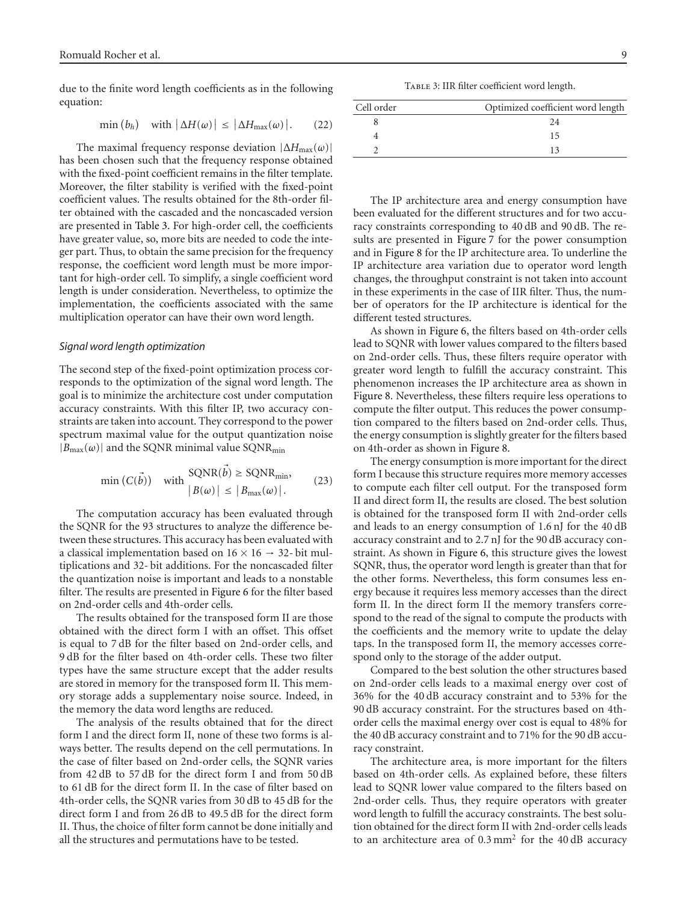due to the finite word length coefficients as in the following equation:

$$
\min(b_h) \quad \text{with } |\Delta H(\omega)| \leq |\Delta H_{\text{max}}(\omega)|. \tag{22}
$$

The maximal frequency response deviation  $|\Delta H_{\text{max}}(\omega)|$ has been chosen such that the frequency response obtained with the fixed-point coefficient remains in the filter template. Moreover, the filter stability is verified with the fixed-point coefficient values. The results obtained for the 8th-order filter obtained with the cascaded and the noncascaded version are presented in [Table 3.](#page-8-0) For high-order cell, the coefficients have greater value, so, more bits are needed to code the integer part. Thus, to obtain the same precision for the frequency response, the coefficient word length must be more important for high-order cell. To simplify, a single coefficient word length is under consideration. Nevertheless, to optimize the implementation, the coefficients associated with the same multiplication operator can have their own word length.

## *Signal word length optimization*

The second step of the fixed-point optimization process corresponds to the optimization of the signal word length. The goal is to minimize the architecture cost under computation accuracy constraints. With this filter IP, two accuracy constraints are taken into account. They correspond to the power spectrum maximal value for the output quantization noise  $|B_{\text{max}}(\omega)|$  and the SQNR minimal value SQNR<sub>min</sub>

$$
\min(C(\vec{b})) \quad \text{with } \frac{\text{SQNR}(\vec{b}) \ge \text{SQNR}_{\text{min}}, \qquad (23)
$$
\n
$$
|B(\omega)| \le |B_{\text{max}}(\omega)|. \qquad (23)
$$

The computation accuracy has been evaluated through the SQNR for the 93 structures to analyze the difference between these structures. This accuracy has been evaluated with a classical implementation based on  $16 \times 16 \rightarrow 32$ - bit multiplications and 32- bit additions. For the noncascaded filter the quantization noise is important and leads to a nonstable filter. The results are presented in [Figure 6](#page-9-0) for the filter based on 2nd-order cells and 4th-order cells.

The results obtained for the transposed form II are those obtained with the direct form I with an offset. This offset is equal to 7 dB for the filter based on 2nd-order cells, and 9 dB for the filter based on 4th-order cells. These two filter types have the same structure except that the adder results are stored in memory for the transposed form II. This memory storage adds a supplementary noise source. Indeed, in the memory the data word lengths are reduced.

The analysis of the results obtained that for the direct form I and the direct form II, none of these two forms is always better. The results depend on the cell permutations. In the case of filter based on 2nd-order cells, the SQNR varies from 42 dB to 57 dB for the direct form I and from 50 dB to 61 dB for the direct form II. In the case of filter based on 4th-order cells, the SQNR varies from 30 dB to 45 dB for the direct form I and from 26 dB to 49.5 dB for the direct form II. Thus, the choice of filter form cannot be done initially and all the structures and permutations have to be tested.

Table 3: IIR filter coefficient word length.

<span id="page-8-0"></span>

| Optimized coefficient word length |  |  |
|-----------------------------------|--|--|
| 24                                |  |  |
| 15                                |  |  |
| 13                                |  |  |
|                                   |  |  |

The IP architecture area and energy consumption have been evaluated for the different structures and for two accuracy constraints corresponding to 40 dB and 90 dB. The results are presented in [Figure 7](#page-9-1) for the power consumption and in [Figure 8](#page-10-0) for the IP architecture area. To underline the IP architecture area variation due to operator word length changes, the throughput constraint is not taken into account in these experiments in the case of IIR filter. Thus, the number of operators for the IP architecture is identical for the different tested structures.

As shown in [Figure 6,](#page-9-0) the filters based on 4th-order cells lead to SQNR with lower values compared to the filters based on 2nd-order cells. Thus, these filters require operator with greater word length to fulfill the accuracy constraint. This phenomenon increases the IP architecture area as shown in [Figure 8.](#page-10-0) Nevertheless, these filters require less operations to compute the filter output. This reduces the power consumption compared to the filters based on 2nd-order cells. Thus, the energy consumption is slightly greater for the filters based on 4th-order as shown in [Figure 8.](#page-10-0)

The energy consumption is more important for the direct form I because this structure requires more memory accesses to compute each filter cell output. For the transposed form II and direct form II, the results are closed. The best solution is obtained for the transposed form II with 2nd-order cells and leads to an energy consumption of 1.6 nJ for the 40 dB accuracy constraint and to 2.7 nJ for the 90 dB accuracy constraint. As shown in [Figure 6,](#page-9-0) this structure gives the lowest SQNR, thus, the operator word length is greater than that for the other forms. Nevertheless, this form consumes less energy because it requires less memory accesses than the direct form II. In the direct form II the memory transfers correspond to the read of the signal to compute the products with the coefficients and the memory write to update the delay taps. In the transposed form II, the memory accesses correspond only to the storage of the adder output.

Compared to the best solution the other structures based on 2nd-order cells leads to a maximal energy over cost of 36% for the 40 dB accuracy constraint and to 53% for the 90 dB accuracy constraint. For the structures based on 4thorder cells the maximal energy over cost is equal to 48% for the 40 dB accuracy constraint and to 71% for the 90 dB accuracy constraint.

The architecture area, is more important for the filters based on 4th-order cells. As explained before, these filters lead to SQNR lower value compared to the filters based on 2nd-order cells. Thus, they require operators with greater word length to fulfill the accuracy constraints. The best solution obtained for the direct form II with 2nd-order cells leads to an architecture area of 0*.*3 mm<sup>2</sup> for the 40 dB accuracy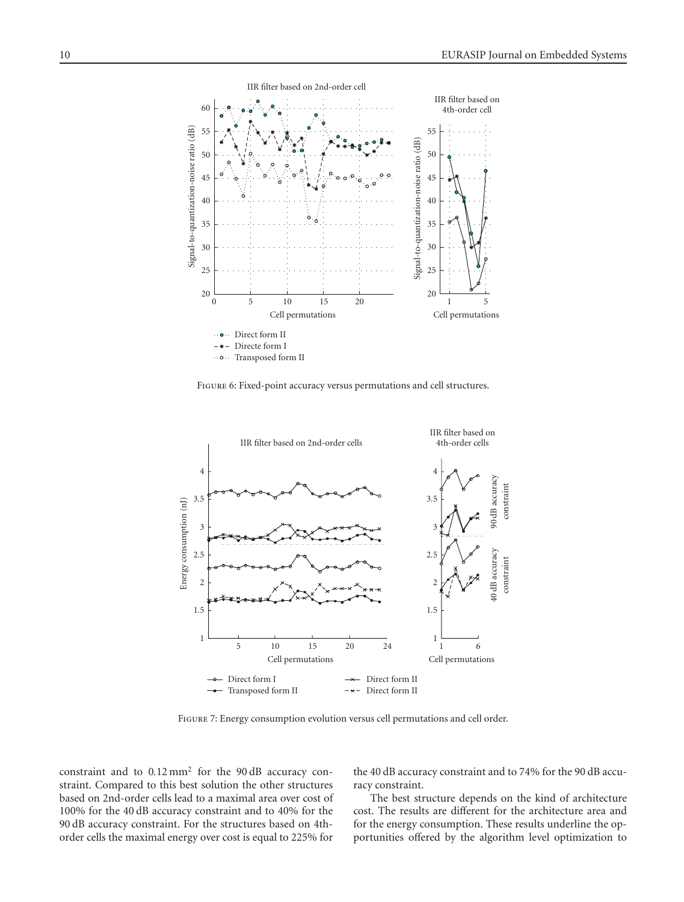

Figure 6: Fixed-point accuracy versus permutations and cell structures.

<span id="page-9-0"></span>

<span id="page-9-1"></span>Figure 7: Energy consumption evolution versus cell permutations and cell order.

constraint and to 0*.*12 mm<sup>2</sup> for the 90 dB accuracy constraint. Compared to this best solution the other structures based on 2nd-order cells lead to a maximal area over cost of 100% for the 40 dB accuracy constraint and to 40% for the 90 dB accuracy constraint. For the structures based on 4thorder cells the maximal energy over cost is equal to 225% for

the 40 dB accuracy constraint and to 74% for the 90 dB accuracy constraint.

The best structure depends on the kind of architecture cost. The results are different for the architecture area and for the energy consumption. These results underline the opportunities offered by the algorithm level optimization to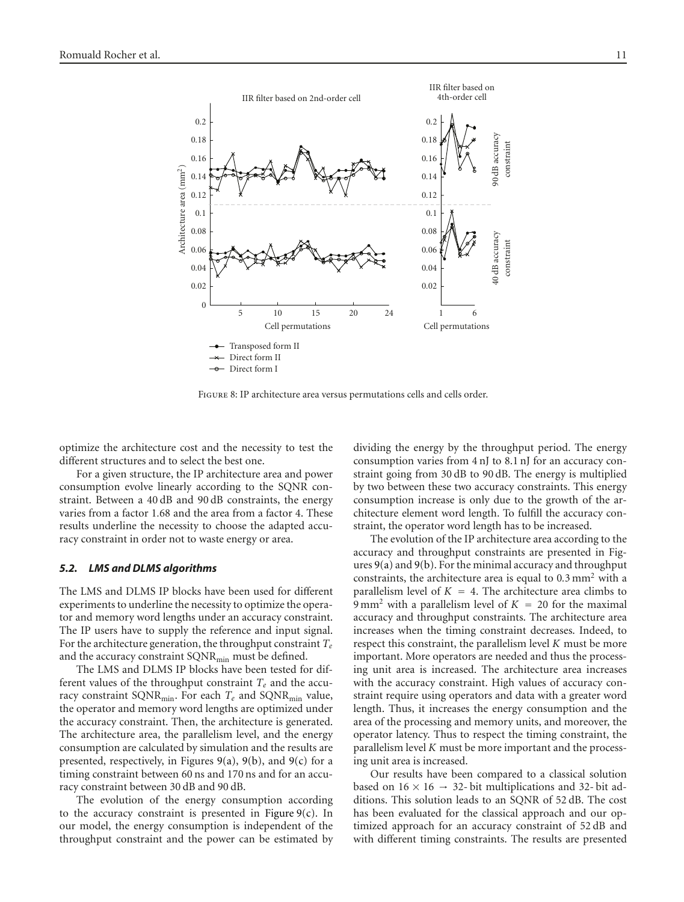

<span id="page-10-0"></span>Figure 8: IP architecture area versus permutations cells and cells order.

optimize the architecture cost and the necessity to test the different structures and to select the best one.

For a given structure, the IP architecture area and power consumption evolve linearly according to the SQNR constraint. Between a 40 dB and 90 dB constraints, the energy varies from a factor 1*.*68 and the area from a factor 4. These results underline the necessity to choose the adapted accuracy constraint in order not to waste energy or area.

## *5.2. LMS and DLMS algorithms*

The LMS and DLMS IP blocks have been used for different experiments to underline the necessity to optimize the operator and memory word lengths under an accuracy constraint. The IP users have to supply the reference and input signal. For the architecture generation, the throughput constraint *Te* and the accuracy constraint SQNR<sub>min</sub> must be defined.

The LMS and DLMS IP blocks have been tested for different values of the throughput constraint  $T_e$  and the accuracy constraint  $\text{SQNR}_{\text{min}}$ . For each  $T_e$  and  $\text{SQNR}_{\text{min}}$  value, the operator and memory word lengths are optimized under the accuracy constraint. Then, the architecture is generated. The architecture area, the parallelism level, and the energy consumption are calculated by simulation and the results are presented, respectively, in Figures  $9(a)$ ,  $9(b)$ , and  $9(c)$  for a timing constraint between 60 ns and 170 ns and for an accuracy constraint between 30 dB and 90 dB.

The evolution of the energy consumption according to the accuracy constraint is presented in Figure  $9(c)$ . In our model, the energy consumption is independent of the throughput constraint and the power can be estimated by dividing the energy by the throughput period. The energy consumption varies from 4 nJ to 8.1 nJ for an accuracy constraint going from 30 dB to 90 dB. The energy is multiplied by two between these two accuracy constraints. This energy consumption increase is only due to the growth of the architecture element word length. To fulfill the accuracy constraint, the operator word length has to be increased.

The evolution of the IP architecture area according to the accuracy and throughput constraints are presented in Figures [9\(a\)](#page-11-5) and [9\(b\).](#page-11-6) For the minimal accuracy and throughput constraints, the architecture area is equal to 0*.*3 mm<sup>2</sup> with a parallelism level of  $K = 4$ . The architecture area climbs to  $9 \text{ mm}^2$  with a parallelism level of  $K = 20$  for the maximal accuracy and throughput constraints. The architecture area increases when the timing constraint decreases. Indeed, to respect this constraint, the parallelism level *K* must be more important. More operators are needed and thus the processing unit area is increased. The architecture area increases with the accuracy constraint. High values of accuracy constraint require using operators and data with a greater word length. Thus, it increases the energy consumption and the area of the processing and memory units, and moreover, the operator latency. Thus to respect the timing constraint, the parallelism level *K* must be more important and the processing unit area is increased.

Our results have been compared to a classical solution based on  $16 \times 16 \rightarrow 32$ - bit multiplications and 32- bit additions. This solution leads to an SQNR of 52 dB. The cost has been evaluated for the classical approach and our optimized approach for an accuracy constraint of 52 dB and with different timing constraints. The results are presented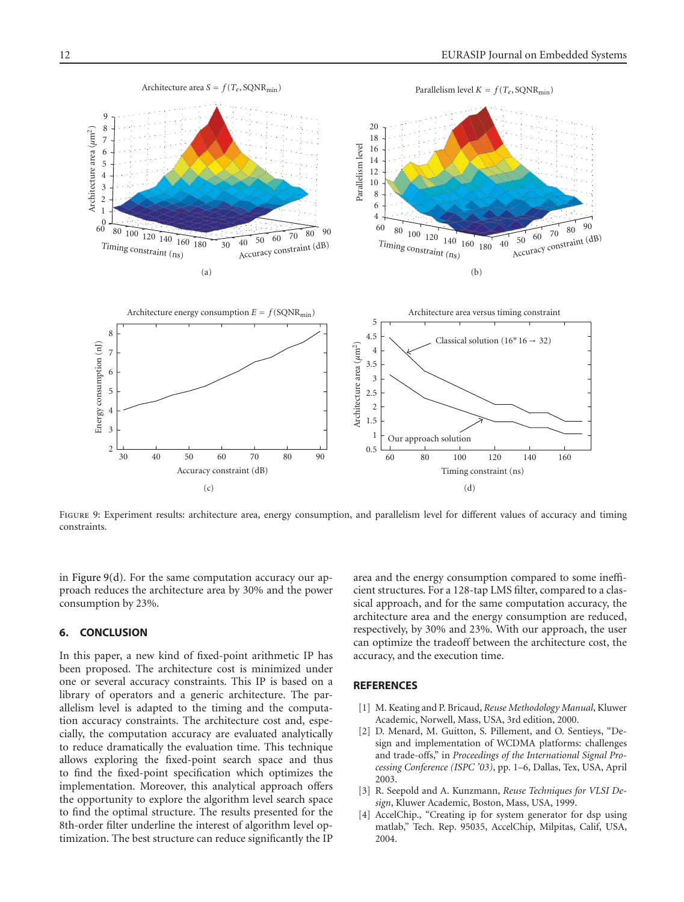<span id="page-11-6"></span><span id="page-11-5"></span>

<span id="page-11-7"></span>Figure 9: Experiment results: architecture area, energy consumption, and parallelism level for different values of accuracy and timing constraints.

in [Figure 9\(d\).](#page-11-8) For the same computation accuracy our approach reduces the architecture area by 30% and the power consumption by 23%.

# **6. CONCLUSION**

In this paper, a new kind of fixed-point arithmetic IP has been proposed. The architecture cost is minimized under one or several accuracy constraints. This IP is based on a library of operators and a generic architecture. The parallelism level is adapted to the timing and the computation accuracy constraints. The architecture cost and, especially, the computation accuracy are evaluated analytically to reduce dramatically the evaluation time. This technique allows exploring the fixed-point search space and thus to find the fixed-point specification which optimizes the implementation. Moreover, this analytical approach offers the opportunity to explore the algorithm level search space to find the optimal structure. The results presented for the 8th-order filter underline the interest of algorithm level optimization. The best structure can reduce significantly the IP

<span id="page-11-8"></span>area and the energy consumption compared to some inefficient structures. For a 128-tap LMS filter, compared to a classical approach, and for the same computation accuracy, the architecture area and the energy consumption are reduced, respectively, by 30% and 23%. With our approach, the user can optimize the tradeoff between the architecture cost, the accuracy, and the execution time.

#### <span id="page-11-1"></span><span id="page-11-0"></span>**REFERENCES**

- [1] M. Keating and P. Bricaud, *Reuse Methodology Manual*, Kluwer Academic, Norwell, Mass, USA, 3rd edition, 2000.
- <span id="page-11-2"></span>[2] D. Menard, M. Guitton, S. Pillement, and O. Sentieys, "Design and implementation of WCDMA platforms: challenges and trade-offs," in *Proceedings of the International Signal Processing Conference (ISPC '03)*, pp. 1–6, Dallas, Tex, USA, April 2003.
- <span id="page-11-3"></span>[3] R. Seepold and A. Kunzmann, *Reuse Techniques for VLSI Design*, Kluwer Academic, Boston, Mass, USA, 1999.
- <span id="page-11-4"></span>[4] AccelChip., "Creating ip for system generator for dsp using matlab," Tech. Rep. 95035, AccelChip, Milpitas, Calif, USA, 2004.